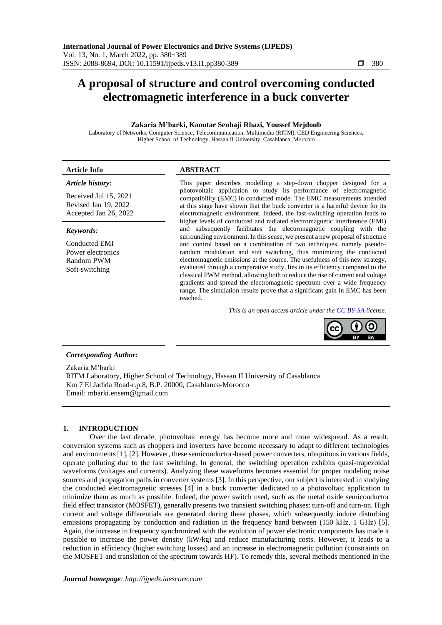# **A proposal of structure and control overcoming conducted electromagnetic interference in a buck converter**

## **Zakaria M'barki, Kaoutar Senhaji Rhazi, Youssef Mejdoub**

Laboratory of Networks, Computer Science, Telecommunication, Multimedia (RITM), CED Engineering Sciences, Higher School of Technology, Hassan II University, Casablanca, Morocco

# **Article Info ABSTRACT** *Article history:*

Received Jul 15, 2021 Revised Jan 19, 2022 Accepted Jan 26, 2022

## *Keywords:*

Conducted EMI Power electronics Random PWM Soft-switching

This paper describes modelling a step-down chopper designed for a photovoltaic application to study its performance of electromagnetic compatibility (EMC) in conducted mode. The EMC measurements attended at this stage have shown that the buck converter is a harmful device for its electromagnetic environment. Indeed, the fast-switching operation leads to higher levels of conducted and radiated electromagnetic interference (EMI) and subsequently facilitates the electromagnetic coupling with the surrounding environment. In this sense, we present a new proposal of structure and control based on a combination of two techniques, namely pseudorandom modulation and soft switching, thus minimizing the conducted electromagnetic emissions at the source. The usefulness of this new strategy, evaluated through a comparative study, lies in its efficiency compared to the classical PWM method, allowing both to reduce the rise of current and voltage gradients and spread the electromagnetic spectrum over a wide frequency range. The simulation results prove that a significant gain in EMC has been reached.

*This is an open access article under th[e CC BY-SA](https://creativecommons.org/licenses/by-sa/4.0/) license.*



# *Corresponding Author:*

Zakaria M'barki RITM Laboratory, Higher School of Technology, Hassan II University of Casablanca Km 7 El Jadida Road-r.p.8, B.P. 20000, Casablanca-Morocco Email: mbarki.ensem@gmail.com

## **1. INTRODUCTION**

Over the last decade, photovoltaic energy has become more and more widespread. As a result, conversion systems such as choppers and inverters have become necessary to adapt to different technologies and environments [1], [2]. However, these semiconductor-based power converters, ubiquitous in various fields, operate polluting due to the fast switching. In general, the switching operation exhibits quasi-trapezoidal waveforms (voltages and currents). Analyzing these waveforms becomes essential for proper modeling noise sources and propagation paths in converter systems [3]. In this perspective, our subject is interested in studying the conducted electromagnetic stresses [4] in a buck converter dedicated to a photovoltaic application to minimize them as much as possible. Indeed, the power switch used, such as the metal oxide semiconductor field effect transistor (MOSFET), generally presents two transient switching phases: turn-off and turn-on. High current and voltage differentials are generated during these phases, which subsequently induce disturbing emissions propagating by conduction and radiation in the frequency band between (150 kHz, 1 GHz) [5]. Again, the increase in frequency synchronized with the evolution of power electronic components has made it possible to increase the power density (kW/kg) and reduce manufacturing costs. However, it leads to a reduction in efficiency (higher switching losses) and an increase in electromagnetic pollution (constraints on the MOSFET and translation of the spectrum towards HF). To remedy this, several methods mentioned in the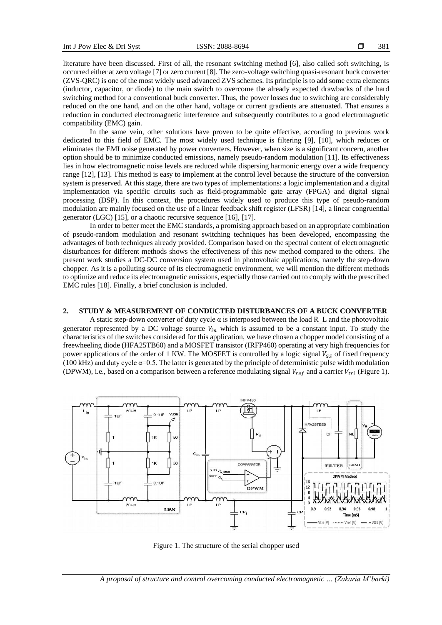literature have been discussed. First of all, the resonant switching method [6], also called soft switching, is occurred either at zero voltage [7] or zero current [8]. The zero-voltage switching quasi-resonant buck converter (ZVS-QRC) is one of the most widely used advanced ZVS schemes. Its principle is to add some extra elements (inductor, capacitor, or diode) to the main switch to overcome the already expected drawbacks of the hard switching method for a conventional buck converter. Thus, the power losses due to switching are considerably reduced on the one hand, and on the other hand, voltage or current gradients are attenuated. That ensures a reduction in conducted electromagnetic interference and subsequently contributes to a good electromagnetic compatibility (EMC) gain.

In the same vein, other solutions have proven to be quite effective, according to previous work dedicated to this field of EMC. The most widely used technique is filtering [9], [10], which reduces or eliminates the EMI noise generated by power converters. However, when size is a significant concern, another option should be to minimize conducted emissions, namely pseudo-random modulation [11]. Its effectiveness lies in how electromagnetic noise levels are reduced while dispersing harmonic energy over a wide frequency range [12], [13]. This method is easy to implement at the control level because the structure of the conversion system is preserved. At this stage, there are two types of implementations: a logic implementation and a digital implementation via specific circuits such as field-programmable gate array (FPGA) and digital signal processing (DSP). In this context, the procedures widely used to produce this type of pseudo-random modulation are mainly focused on the use of a linear feedback shift register (LFSR) [14], a linear congruential generator (LGC) [15], or a chaotic recursive sequence [16], [17].

In order to better meet the EMC standards, a promising approach based on an appropriate combination of pseudo-random modulation and resonant switching techniques has been developed, encompassing the advantages of both techniques already provided. Comparison based on the spectral content of electromagnetic disturbances for different methods shows the effectiveness of this new method compared to the others. The present work studies a DC-DC conversion system used in photovoltaic applications, namely the step-down chopper. As it is a polluting source of its electromagnetic environment, we will mention the different methods to optimize and reduce its electromagnetic emissions, especially those carried out to comply with the prescribed EMC rules [18]. Finally, a brief conclusion is included.

### **2. STUDY & MEASUREMENT OF CONDUCTED DISTURBANCES OF A BUCK CONVERTER**

A static step-down converter of duty cycle α is interposed between the load R\_L and the photovoltaic generator represented by a DC voltage source  $V_{in}$  which is assumed to be a constant input. To study the characteristics of the switches considered for this application, we have chosen a chopper model consisting of a freewheeling diode (HFA25TB60) and a MOSFET transistor (IRFP460) operating at very high frequencies for power applications of the order of 1 KW. The MOSFET is controlled by a logic signal  $V_{GS}$  of fixed frequency (100 kHz) and duty cycle  $\alpha$ =0.5. The latter is generated by the principle of deterministic pulse width modulation (DPWM), i.e., based on a comparison between a reference modulating signal  $V_{ref}$  and a carrier  $V_{tri}$  (Figure 1).



Figure 1. The structure of the serial chopper used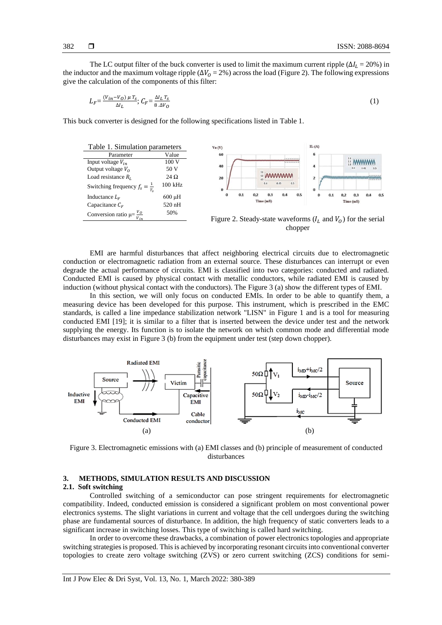The LC output filter of the buck converter is used to limit the maximum current ripple ( $\Delta I_1 = 20\%$ ) in the inductor and the maximum voltage ripple ( $\Delta V_0 = 2\%$ ) across the load (Figure 2). The following expressions give the calculation of the components of this filter:

$$
L_F = \frac{(V_{in} - V_O) \mu T_S}{\Delta l_L}; C_F = \frac{\Delta l_L T_S}{8 \Delta V_O}
$$
 (1)

This buck converter is designed for the following specifications listed in Table 1.



Figure 2. Steady-state waveforms  $(I_L$  and  $V_O$ ) for the serial chopper

EMI are harmful disturbances that affect neighboring electrical circuits due to electromagnetic conduction or electromagnetic radiation from an external source. These disturbances can interrupt or even degrade the actual performance of circuits. EMI is classified into two categories: conducted and radiated. Conducted EMI is caused by physical contact with metallic conductors, while radiated EMI is caused by induction (without physical contact with the conductors). The Figure 3 (a) show the different types of EMI.

In this section, we will only focus on conducted EMIs. In order to be able to quantify them, a measuring device has been developed for this purpose. This instrument, which is prescribed in the EMC standards, is called a line impedance stabilization network "LISN" in Figure 1 and is a tool for measuring conducted EMI [19]; it is similar to a filter that is inserted between the device under test and the network supplying the energy. Its function is to isolate the network on which common mode and differential mode disturbances may exist in Figure 3 (b) from the equipment under test (step down chopper).

![](_page_2_Figure_9.jpeg)

Figure 3. Electromagnetic emissions with (a) EMI classes and (b) principle of measurement of conducted disturbances

## **3. METHODS, SIMULATION RESULTS AND DISCUSSION**

#### **2.1. Soft switching**

Controlled switching of a semiconductor can pose stringent requirements for electromagnetic compatibility. Indeed, conducted emission is considered a significant problem on most conventional power electronics systems. The slight variations in current and voltage that the cell undergoes during the switching phase are fundamental sources of disturbance. In addition, the high frequency of static converters leads to a significant increase in switching losses. This type of switching is called hard switching.

In order to overcome these drawbacks, a combination of power electronics topologies and appropriate switching strategies is proposed. This is achieved by incorporating resonant circuits into conventional converter topologies to create zero voltage switching (ZVS) or zero current switching (ZCS) conditions for semi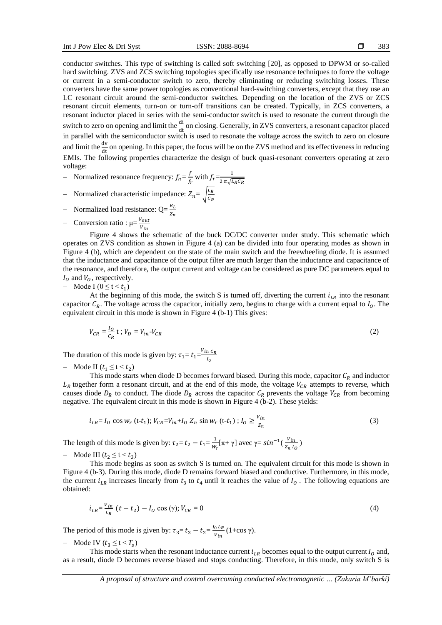conductor switches. This type of switching is called soft switching [20], as opposed to DPWM or so-called hard switching. ZVS and ZCS switching topologies specifically use resonance techniques to force the voltage or current in a semi-conductor switch to zero, thereby eliminating or reducing switching losses. These converters have the same power topologies as conventional hard-switching converters, except that they use an LC resonant circuit around the semi-conductor switches. Depending on the location of the ZVS or ZCS resonant circuit elements, turn-on or turn-off transitions can be created. Typically, in ZCS converters, a resonant inductor placed in series with the semi-conductor switch is used to resonate the current through the switch to zero on opening and limit the  $\frac{di}{dt}$  on closing. Generally, in ZVS converters, a resonant capacitor placed in parallel with the semiconductor switch is used to resonate the voltage across the switch to zero on closure and limit the  $\frac{dv}{dt}$  on opening. In this paper, the focus will be on the ZVS method and its effectiveness in reducing EMIs. The following properties characterize the design of buck quasi-resonant converters operating at zero voltage:

- $-$  Normalized resonance frequency:  $f_n = \frac{f}{f}$  $\frac{f}{f_r}$  with  $f_r = \frac{1}{2 \pi \sqrt{l}}$ 2  $\pi \sqrt{L_R C_R}$
- Normalized characteristic impedance:  $Z_n = \int_{C_n}^{L_R}$  $C_R$
- − Normalized load resistance: Q= $\frac{R_L}{Z_n}$
- $-\text{Consersion ratio}: \mu = \frac{V_{out}}{V_{out}}$  $v_{in}$

Figure 4 shows the schematic of the buck DC/DC converter under study. This schematic which operates on ZVS condition as shown in Figure 4 (a) can be divided into four operating modes as shown in Figure 4 (b), which are dependent on the state of the main switch and the freewheeling diode. It is assumed that the inductance and capacitance of the output filter are much larger than the inductance and capacitance of the resonance, and therefore, the output current and voltage can be considered as pure DC parameters equal to  $I_0$  and  $V_0$ , respectively.

- Mode I 
$$
(0 \le t < t_1)
$$

At the beginning of this mode, the switch S is turned off, diverting the current  $i_{LR}$  into the resonant capacitor  $C_R$ . The voltage across the capacitor, initially zero, begins to charge with a current equal to  $I_0$ . The equivalent circuit in this mode is shown in Figure 4 (b-1) This gives:

$$
V_{CR} = \frac{I_O}{c_R} \mathbf{t} \; ; \; V_D = V_{in} \cdot V_{CR} \tag{2}
$$

The duration of this mode is given by:  $\tau_1 = t_1 = \frac{V_{in} C_R}{I_0}$  $I_0$ 

Mode II  $(t_1 \leq t \leq t_2)$ 

This mode starts when diode D becomes forward biased. During this mode, capacitor  $C_R$  and inductor  $L_R$  together form a resonant circuit, and at the end of this mode, the voltage  $V_{CR}$  attempts to reverse, which causes diode  $D_R$  to conduct. The diode  $D_R$  across the capacitor  $C_R$  prevents the voltage  $V_{CR}$  from becoming negative. The equivalent circuit in this mode is shown in Figure 4 (b-2). These yields:

$$
i_{LR} = I_0 \cos w_r \text{ (t-t1)}; V_{CR} = V_{in} + I_0 Z_n \sin w_r \text{ (t-t1)}; I_0 \ge \frac{V_{in}}{Z_n}
$$
 (3)

The length of this mode is given by:  $\tau_2 = t_2 - t_1 = \frac{1}{w}$  $\frac{1}{w_r}[\pi + \gamma]$  avec  $\gamma = \sin^{-1}(\frac{V_{in}}{Z_n I_s})$  $\frac{v_{in}}{z_n l_0}$ 

 $-$  Mode III  $(t_2 \leq t \leq t_3)$ 

This mode begins as soon as switch S is turned on. The equivalent circuit for this mode is shown in Figure 4 (b-3). During this mode, diode D remains forward biased and conductive. Furthermore, in this mode, the current  $i_{LR}$  increases linearly from  $t_3$  to  $t_4$  until it reaches the value of  $I_0$ . The following equations are obtained:

$$
i_{LR} = \frac{v_{in}}{L_R} \ (t - t_2) - I_0 \cos(\gamma); V_{CR} = 0 \tag{4}
$$

The period of this mode is given by:  $\tau_3 = t_3 - t_2 = \frac{I_0 I_R}{V_{tot}}$  $\frac{0}{v_{in}}$  (1+cos  $\gamma$ ).

 $-$  Mode IV ( $t_3 \le t < T_s$ )

This mode starts when the resonant inductance current  $i_{LR}$  becomes equal to the output current  $I_0$  and, as a result, diode D becomes reverse biased and stops conducting. Therefore, in this mode, only switch S is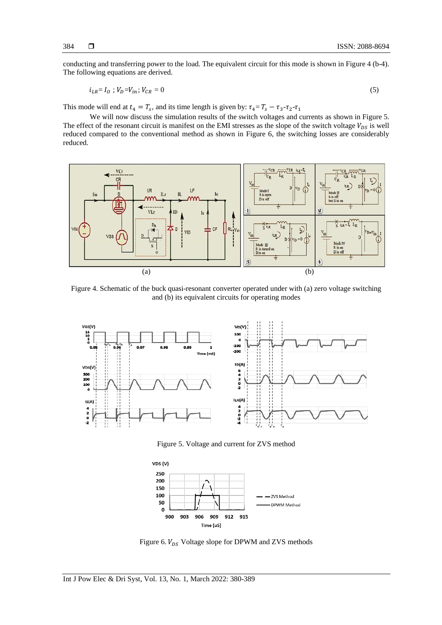conducting and transferring power to the load. The equivalent circuit for this mode is shown in Figure 4 (b-4). The following equations are derived.

$$
i_{LR} = I_0 ; V_D = V_{in}; V_{CR} = 0
$$
\n<sup>(5)</sup>

This mode will end at  $t_4 = T_s$ , and its time length is given by:  $\tau_4 = T_s - \tau_3 - \tau_2 - \tau_1$ 

We will now discuss the simulation results of the switch voltages and currents as shown in Figure 5. The effect of the resonant circuit is manifest on the EMI stresses as the slope of the switch voltage  $V_{DS}$  is well reduced compared to the conventional method as shown in Figure 6, the switching losses are considerably reduced.

![](_page_4_Figure_5.jpeg)

Figure 4. Schematic of the buck quasi-resonant converter operated under with (a) zero voltage switching and (b) its equivalent circuits for operating modes

![](_page_4_Figure_7.jpeg)

Figure 5. Voltage and current for ZVS method

![](_page_4_Figure_9.jpeg)

Figure 6.  $V_{DS}$  Voltage slope for DPWM and ZVS methods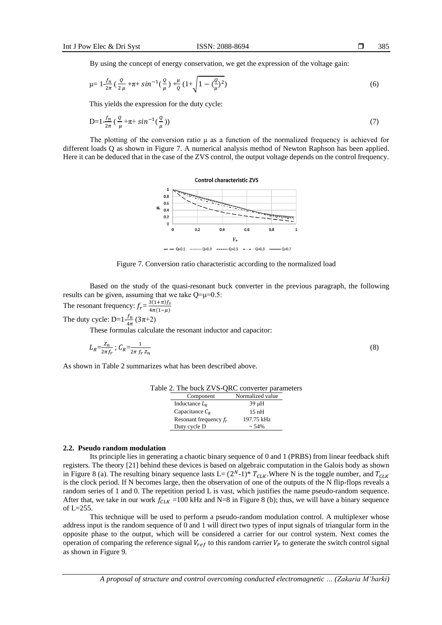By using the concept of energy conservation, we get the expression of the voltage gain:

$$
\mu = 1 - \frac{f_n}{2\pi} \left( \frac{Q}{2\mu} + \pi + \sin^{-1}\left(\frac{Q}{\mu}\right) + \frac{\mu}{Q} \left(1 + \sqrt{1 - \left(\frac{Q}{\mu}\right)^2}\right) \right) \tag{6}
$$

This yields the expression for the duty cycle:

$$
D=1-\frac{f_n}{2\pi}\left(\frac{Q}{\mu}+\pi+\sin^{-1}(\frac{Q}{\mu})\right)
$$
\n<sup>(7)</sup>

The plotting of the conversion ratio  $\mu$  as a function of the normalized frequency is achieved for different loads Q as shown in Figure 7. A numerical analysis method of Newton Raphson has been applied. Here it can be deduced that in the case of the ZVS control, the output voltage depends on the control frequency.

![](_page_5_Figure_7.jpeg)

Figure 7. Conversion ratio characteristic according to the normalized load

Based on the study of the quasi-resonant buck converter in the previous paragraph, the following results can be given, assuming that we take Q=μ=0.5:

The resonant frequency:  $f_r = \frac{3(1+\pi)f_s}{4\pi(1-\mu)}$  $4\pi(1-\mu)$ 

The duty cycle: D= $1\frac{f_n}{f_n}$  $\frac{Jn}{4\pi}(3\pi+2)$ 

These formulas calculate the resonant inductor and capacitor:

$$
L_R = \frac{Z_n}{2\pi f_r}; \ C_R = \frac{1}{2\pi f_r Z_n} \tag{8}
$$

As shown in Table 2 summarizes what has been described above.

| Component                | Normalized value |
|--------------------------|------------------|
| Inductance $LR$          | 39 µH            |
| Capacitance $C_R$        | 15nH             |
| Resonant frequency $f_r$ | 197.75 kHz       |
| Duty cycle D             | $~1.54\%$        |

## Table 2. The buck ZVS-QRC converter parameters

# **2.2. Pseudo random modulation**

Its principle lies in generating a chaotic binary sequence of 0 and 1 (PRBS) from linear feedback shift registers. The theory [21] behind these devices is based on algebraic computation in the Galois body as shown in Figure 8 (a). The resulting binary sequence lasts  $L = (2^N-1)^* T_{CLK}$ . Where N is the toggle number, and  $T_{CLK}$ is the clock period. If N becomes large, then the observation of one of the outputs of the N flip-flops reveals a random series of 1 and 0. The repetition period L is vast, which justifies the name pseudo-random sequence. After that, we take in our work  $f_{CLK}$  =100 kHz and N=8 in Figure 8 (b); thus, we will have a binary sequence of L=255.

This technique will be used to perform a pseudo-random modulation control. A multiplexer whose address input is the random sequence of 0 and 1 will direct two types of input signals of triangular form in the opposite phase to the output, which will be considered a carrier for our control system. Next comes the operation of comparing the reference signal  $V_{ref}$  to this random carrier  $V_p$  to generate the switch control signal as shown in Figure 9.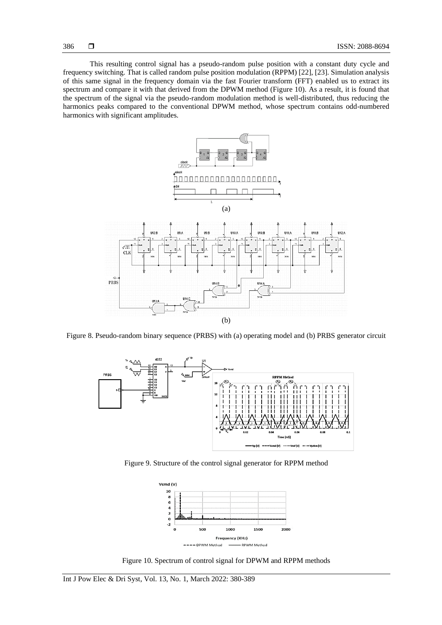This resulting control signal has a pseudo-random pulse position with a constant duty cycle and frequency switching. That is called random pulse position modulation (RPPM) [22], [23]. Simulation analysis of this same signal in the frequency domain via the fast Fourier transform (FFT) enabled us to extract its spectrum and compare it with that derived from the DPWM method (Figure 10). As a result, it is found that

the spectrum of the signal via the pseudo-random modulation method is well-distributed, thus reducing the harmonics peaks compared to the conventional DPWM method, whose spectrum contains odd-numbered harmonics with significant amplitudes.

![](_page_6_Figure_3.jpeg)

Figure 8. Pseudo-random binary sequence (PRBS) with (a) operating model and (b) PRBS generator circuit

![](_page_6_Figure_5.jpeg)

Figure 9. Structure of the control signal generator for RPPM method

![](_page_6_Figure_7.jpeg)

Figure 10. Spectrum of control signal for DPWM and RPPM methods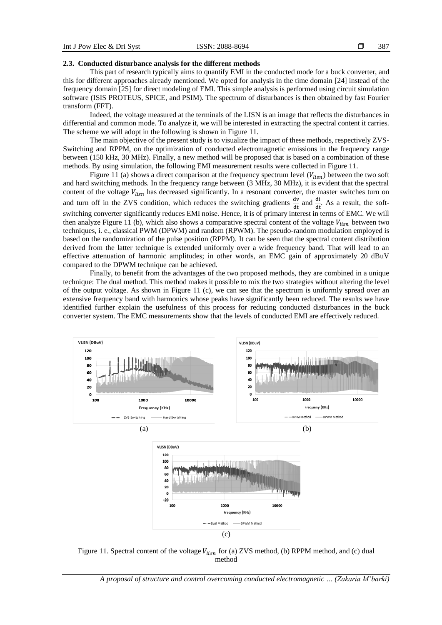## **2.3. Conducted disturbance analysis for the different methods**

This part of research typically aims to quantify EMI in the conducted mode for a buck converter, and this for different approaches already mentioned. We opted for analysis in the time domain [24] instead of the frequency domain [25] for direct modeling of EMI. This simple analysis is performed using circuit simulation software (ISIS PROTEUS, SPICE, and PSIM). The spectrum of disturbances is then obtained by fast Fourier transform (FFT).

Indeed, the voltage measured at the terminals of the LISN is an image that reflects the disturbances in differential and common mode. To analyze it, we will be interested in extracting the spectral content it carries. The scheme we will adopt in the following is shown in Figure 11.

The main objective of the present study is to visualize the impact of these methods, respectively ZVS-Switching and RPPM, on the optimization of conducted electromagnetic emissions in the frequency range between (150 kHz, 30 MHz). Finally, a new method will be proposed that is based on a combination of these methods. By using simulation, the following EMI measurement results were collected in Figure 11.

Figure 11 (a) shows a direct comparison at the frequency spectrum level  $(V_{lism})$  between the two soft and hard switching methods. In the frequency range between (3 MHz, 30 MHz), it is evident that the spectral content of the voltage  $V_{lisn}$  has decreased significantly. In a resonant converter, the master switches turn on and turn off in the ZVS condition, which reduces the switching gradients  $\frac{dv}{dt}$  and  $\frac{di}{dt}$ . As a result, the softswitching converter significantly reduces EMI noise. Hence, it is of primary interest in terms of EMC. We will then analyze Figure 11 (b), which also shows a comparative spectral content of the voltage  $V_{lism}$  between two techniques, i. e., classical PWM (DPWM) and random (RPWM). The pseudo-random modulation employed is based on the randomization of the pulse position (RPPM). It can be seen that the spectral content distribution derived from the latter technique is extended uniformly over a wide frequency band. That will lead to an effective attenuation of harmonic amplitudes; in other words, an EMC gain of approximately 20 dBuV compared to the DPWM technique can be achieved.

Finally, to benefit from the advantages of the two proposed methods, they are combined in a unique technique: The dual method. This method makes it possible to mix the two strategies without altering the level of the output voltage. As shown in Figure 11 (c), we can see that the spectrum is uniformly spread over an extensive frequency band with harmonics whose peaks have significantly been reduced. The results we have identified further explain the usefulness of this process for reducing conducted disturbances in the buck converter system. The EMC measurements show that the levels of conducted EMI are effectively reduced.

![](_page_7_Figure_8.jpeg)

Figure 11. Spectral content of the voltage  $V_{lism}$  for (a) ZVS method, (b) RPPM method, and (c) dual method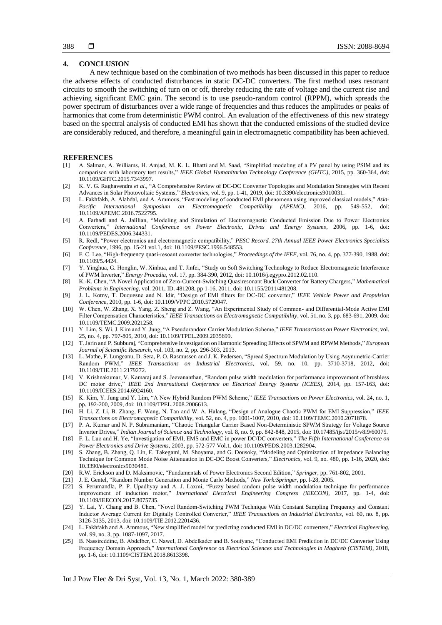## **4. CONCLUSION**

A new technique based on the combination of two methods has been discussed in this paper to reduce the adverse effects of conducted disturbances in static DC-DC converters. The first method uses resonant circuits to smooth the switching of turn on or off, thereby reducing the rate of voltage and the current rise and achieving significant EMC gain. The second is to use pseudo-random control (RPPM), which spreads the power spectrum of disturbances over a wide range of frequencies and thus reduces the amplitudes or peaks of harmonics that come from deterministic PWM control. An evaluation of the effectiveness of this new strategy based on the spectral analysis of conducted EMI has shown that the conducted emissions of the studied device are considerably reduced, and therefore, a meaningful gain in electromagnetic compatibility has been achieved.

### **REFERENCES**

- [1] A. Salman, A. Williams, H. Amjad, M. K. L. Bhatti and M. Saad, "Simplified modeling of a PV panel by using PSIM and its comparison with laboratory test results," *IEEE Global Humanitarian Technology Conference (GHTC)*, 2015, pp. 360-364, doi: 10.1109/GHTC.2015.7343997.
- [2] K. V. G. Raghavendra *et al*., "A Comprehensive Review of DC-DC Converter Topologies and Modulation Strategies with Recent Advances in Solar Photovoltaic Systems," *Electronics*, vol. 9, pp. 1-41, 2019, doi: 10.3390/electronics9010031.
- [3] L. Fakhfakh, A. Alahdal, and A. Ammous, "Fast modeling of conducted EMI phenomena using improved classical models," *Asia-Pacific International Symposium on Electromagnetic Compatibility (APEMC)*, 2016, pp. 549-552, doi: 10.1109/APEMC.2016.7522795.
- [4] A. Farhadi and A. Jalilian, "Modeling and Simulation of Electromagnetic Conducted Emission Due to Power Electronics Converters," *International Conference on Power Electronic, Drives and Energy Systems*, 2006, pp. 1-6, doi: 10.1109/PEDES.2006.344331.
- [5] R. Redl, "Power electronics and electromagnetic compatibility," *PESC Record. 27th Annual IEEE Power Electronics Specialists Conference*, 1996, pp. 15-21 vol.1, doi: 10.1109/PESC.1996.548553.
- [6] F. C. Lee, "High-frequency quasi-resoant converter technologies," *Proceedings of the IEEE*, vol. 76, no. 4, pp. 377-390, 1988, doi: 10.1109/5.4424.
- [7] Y. Yinghua, G. Honglin, W. Xinhua, and T. Jinfei, "Study on Soft Switching Technology to Reduce Electromagnetic Interference of PWM Inverter," *Energy Procedia*, vol. 17, pp. 384-390, 2012, doi: 10.1016/j.egypro.2012.02.110.
- [8] K.-K. Chen, "A Novel Application of Zero-Current-Switching Quasiresonant Buck Converter for Battery Chargers," *Mathematical Problems in Engineering*, vol. 2011, ID. 481208, pp 1-16, 2011, doi: 10.1155/2011/481208.
- [9] J. L. Kotny, T. Duquesne and N. Idir, "Design of EMI filters for DC-DC converter," *IEEE Vehicle Power and Propulsion Conference*, 2010, pp. 1-6, doi: 10.1109/VPPC.2010.5729047.
- [10] W. Chen, W. Zhang, X. Yang, Z. Sheng and Z. Wang, "An Experimental Study of Common- and Differential-Mode Active EMI Filter Compensation Characteristics," *IEEE Transactions on Electromagnetic Compatibility*, vol. 51, no. 3, pp. 683-691, 2009, doi: 10.1109/TEMC.2009.2021258.
- [11] Y. Lim, S. Wi, J. Kim and Y. Jung, "A Pseudorandom Carrier Modulation Scheme," *IEEE Transactions on Power Electronics*, vol. 25, no. 4, pp. 797-805, 2010, doi: 10.1109/TPEL.2009.2035699.
- [12] T. Jarin and P. Subburaj, "Comprehensive Investigation on Harmonic Spreading Effects of SPWM and RPWM Methods," *European Journal of Scientific Research*, vol. 103, no. 2, pp. 296-303, 2013.
- [13] L. Mathe, F. Lungeanu, D. Sera, P. O. Rasmussen and J. K. Pedersen, "Spread Spectrum Modulation by Using Asymmetric-Carrier Random PWM," *IEEE Transactions on Industrial Electronics*, vol. 59, no. 10, pp. 3710-3718, 2012, doi: 10.1109/TIE.2011.2179272.
- [14] V. Krishnakumar, V. Kamaraj and S. Jeevananthan, "Random pulse width modulation for performance improvement of brushless DC motor drive," *IEEE 2nd International Conference on Electrical Energy Systems (ICEES)*, 2014, pp. 157-163, doi: 10.1109/ICEES.2014.6924160.
- [15] K. Kim, Y. Jung and Y. Lim, "A New Hybrid Random PWM Scheme," *IEEE Transactions on Power Electronics*, vol. 24, no. 1, pp. 192-200, 2009, doi: 10.1109/TPEL.2008.2006613.
- [16] H. Li, Z. Li, B. Zhang, F. Wang, N. Tan and W. A. Halang, "Design of Analogue Chaotic PWM for EMI Suppression," *IEEE Transactions on Electromagnetic Compatibility*, vol. 52, no. 4, pp. 1001-1007, 2010, doi: 10.1109/TEMC.2010.2071878.
- [17] P. A. Kumar and N. P. Subramaniam, "Chaotic Triangular Carrier Based Non-Deterministic SPWM Strategy for Voltage Source Inverter Drives," *Indian Journal of Science and Technology*, vol. 8, no. 9, pp. 842-848, 2015, doi: 10.17485/ijst/2015/v8i9/60075.
- [18] F. L. Luo and H. Ye, "Investigation of EMI, EMS and EMC in power DC/DC converters," *The Fifth International Conference on Power Electronics and Drive Systems*, 2003, pp. 572-577 Vol.1, doi: 10.1109/PEDS.2003.1282904.
- [19] S. Zhang, B. Zhang, Q. Lin, E. Takegami, M. Shoyama, and G. Dousoky, "Modeling and Optimization of Impedance Balancing Technique for Common Mode Noise Attenuation in DC-DC Boost Converters," *Electronics*, vol. 9, no. 480, pp. 1-16, 2020, doi: 10.3390/electronics9030480.
- [20] R.W. Erickson and D. Maksimovic, "Fundamentals of Power Electronics Second Edition," *Springer*, pp. 761-802, 2001.
- [21] J. E. Gentel, "Random Number Generation and Monte Carlo Methods," *New York:Springer*, pp. l-28, 2005.
- [22] S. Perumandla, P. P. Upadhyay and A. J. Laxmi, "Fuzzy based random pulse width modulation technique for performance improvement of induction motor," *International Electrical Engineering Congress (iEECON)*, 2017, pp. 1-4, doi: 10.1109/IEECON.2017.8075735.
- [23] Y. Lai, Y. Chang and B. Chen, "Novel Random-Switching PWM Technique With Constant Sampling Frequency and Constant Inductor Average Current for Digitally Controlled Converter," *IEEE Transactions on Industrial Electronics*, vol. 60, no. 8, pp. 3126-3135, 2013, doi: 10.1109/TIE.2012.2201436.
- [24] L. Fakhfakh and A. Ammous, "New simplified model for predicting conducted EMI in DC/DC converters," *Electrical Engineering*, vol. 99, no. 3, pp. 1087-1097, 2017.
- [25] B. Nassireddine, B. Abdelber, C. Nawel, D. Abdelkader and B. Soufyane, "Conducted EMI Prediction in DC/DC Converter Using Frequency Domain Approach," *International Conference on Electrical Sciences and Technologies in Maghreb (CISTEM)*, 2018, pp. 1-6, doi: 10.1109/CISTEM.2018.8613398.